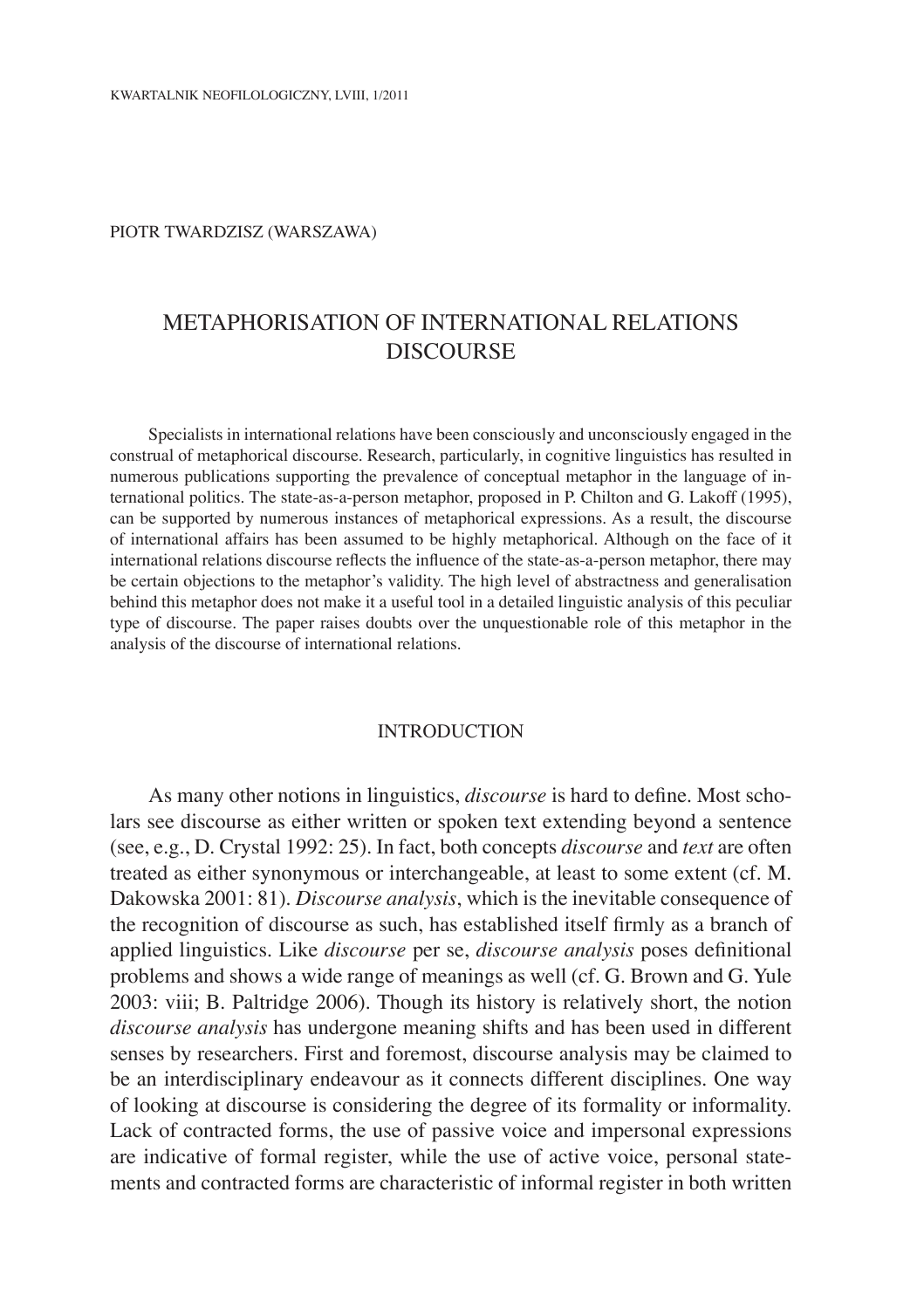#### piotr twardzisz (warszawa)

# Metaphorisation of international relations **DISCOURSE**

Specialists in international relations have been consciously and unconsciously engaged in the construal of metaphorical discourse. Research, particularly, in cognitive linguistics has resulted in numerous publications supporting the prevalence of conceptual metaphor in the language of international politics. The state-as-a-person metaphor, proposed in P. Chilton and G. Lakoff (1995), can be supported by numerous instances of metaphorical expressions. As a result, the discourse of international affairs has been assumed to be highly metaphorical. Although on the face of it international relations discourse reflects the influence of the state-as-a-person metaphor, there may be certain objections to the metaphor's validity. The high level of abstractness and generalisation behind this metaphor does not make it a useful tool in a detailed linguistic analysis of this peculiar type of discourse. The paper raises doubts over the unquestionable role of this metaphor in the analysis of the discourse of international relations.

### **INTRODUCTION**

As many other notions in linguistics, *discourse* is hard to define. Most scholars see discourse as either written or spoken text extending beyond a sentence (see, e.g., D. Crystal 1992: 25). In fact, both concepts *discourse* and *text* are often treated as either synonymous or interchangeable, at least to some extent (cf. M. Dakowska 2001: 81). *Discourse analysis*, which is the inevitable consequence of the recognition of discourse as such, has established itself firmly as a branch of applied linguistics. Like *discourse* per se, *discourse analysis* poses definitional problems and shows a wide range of meanings as well (cf. G. Brown and G. Yule 2003: viii; B. Paltridge 2006). Though its history is relatively short, the notion *discourse analysis* has undergone meaning shifts and has been used in different senses by researchers. First and foremost, discourse analysis may be claimed to be an interdisciplinary endeavour as it connects different disciplines. One way of looking at discourse is considering the degree of its formality or informality. Lack of contracted forms, the use of passive voice and impersonal expressions are indicative of formal register, while the use of active voice, personal statements and contracted forms are characteristic of informal register in both written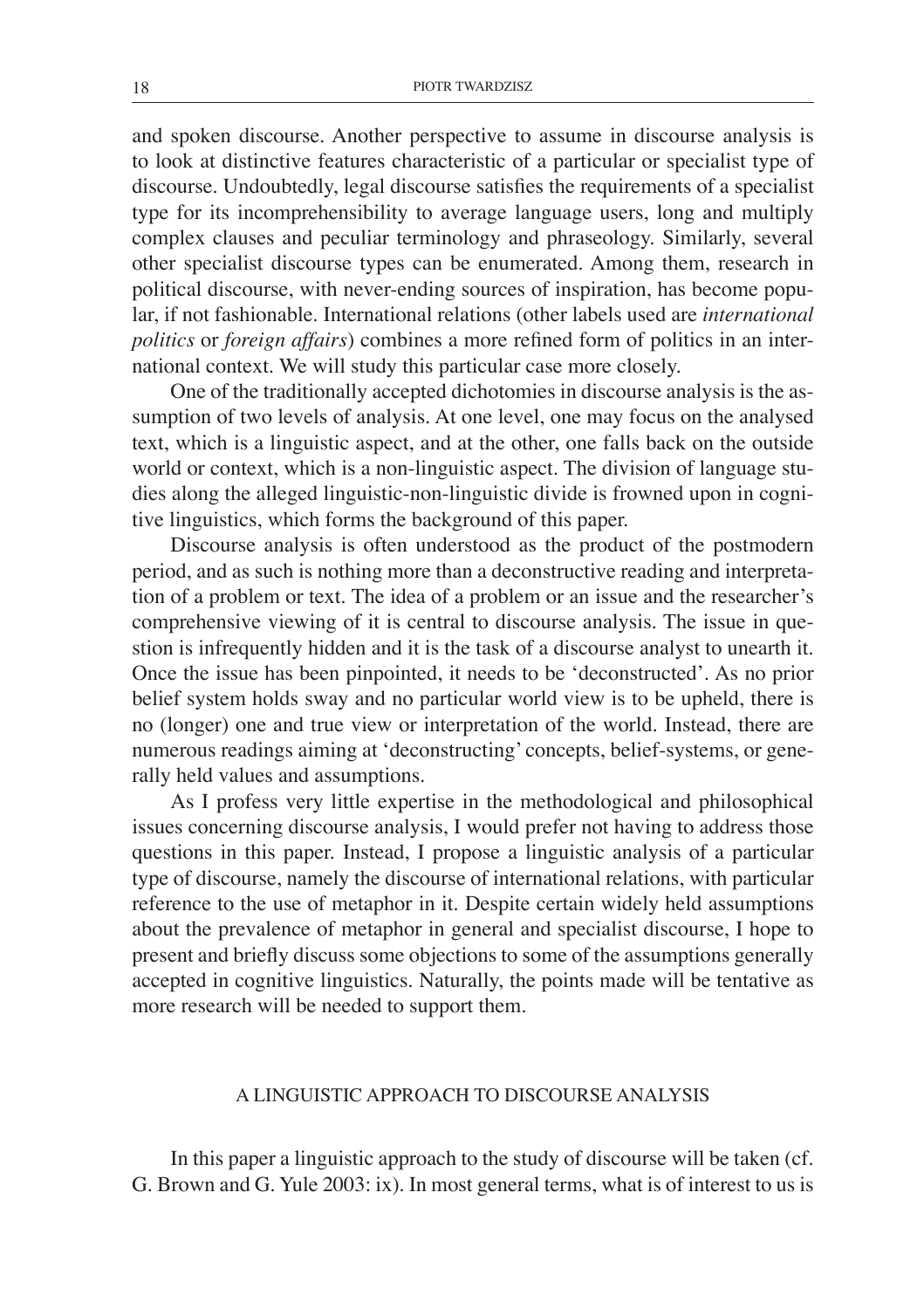and spoken discourse. Another perspective to assume in discourse analysis is to look at distinctive features characteristic of a particular or specialist type of discourse. Undoubtedly, legal discourse satisfies the requirements of a specialist type for its incomprehensibility to average language users, long and multiply complex clauses and peculiar terminology and phraseology. Similarly, several other specialist discourse types can be enumerated. Among them, research in political discourse, with never-ending sources of inspiration, has become popular, if not fashionable. International relations (other labels used are *international politics* or *foreign affairs*) combines a more refined form of politics in an international context. We will study this particular case more closely.

One of the traditionally accepted dichotomies in discourse analysis is the assumption of two levels of analysis. At one level, one may focus on the analysed text, which is a linguistic aspect, and at the other, one falls back on the outside world or context, which is a non-linguistic aspect. The division of language studies along the alleged linguistic-non-linguistic divide is frowned upon in cognitive linguistics, which forms the background of this paper.

Discourse analysis is often understood as the product of the postmodern period, and as such is nothing more than a deconstructive reading and interpretation of a problem or text. The idea of a problem or an issue and the researcher's comprehensive viewing of it is central to discourse analysis. The issue in question is infrequently hidden and it is the task of a discourse analyst to unearth it. Once the issue has been pinpointed, it needs to be 'deconstructed'. As no prior belief system holds sway and no particular world view is to be upheld, there is no (longer) one and true view or interpretation of the world. Instead, there are numerous readings aiming at 'deconstructing' concepts, belief-systems, or generally held values and assumptions.

As I profess very little expertise in the methodological and philosophical issues concerning discourse analysis, I would prefer not having to address those questions in this paper. Instead, I propose a linguistic analysis of a particular type of discourse, namely the discourse of international relations, with particular reference to the use of metaphor in it. Despite certain widely held assumptions about the prevalence of metaphor in general and specialist discourse, I hope to present and briefly discuss some objections to some of the assumptions generally accepted in cognitive linguistics. Naturally, the points made will be tentative as more research will be needed to support them.

# A linguistic approach to discourse analysis

In this paper a linguistic approach to the study of discourse will be taken (cf. G. Brown and G. Yule 2003: ix). In most general terms, what is of interest to us is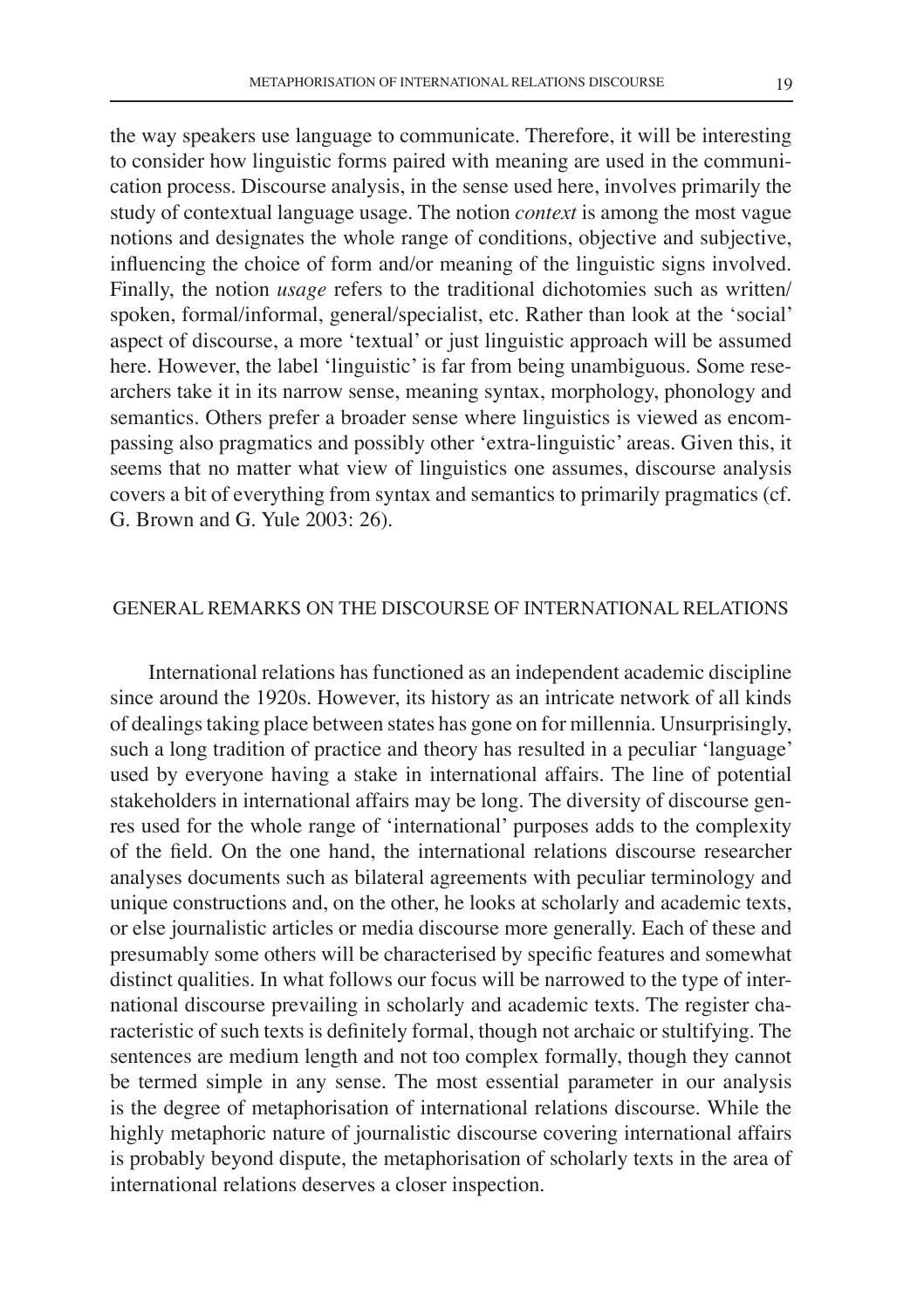the way speakers use language to communicate. Therefore, it will be interesting to consider how linguistic forms paired with meaning are used in the communication process. Discourse analysis, in the sense used here, involves primarily the study of contextual language usage. The notion *context* is among the most vague notions and designates the whole range of conditions, objective and subjective, influencing the choice of form and/or meaning of the linguistic signs involved. Finally, the notion *usage* refers to the traditional dichotomies such as written/ spoken, formal/informal, general/specialist, etc. Rather than look at the 'social' aspect of discourse, a more 'textual' or just linguistic approach will be assumed here. However, the label 'linguistic' is far from being unambiguous. Some researchers take it in its narrow sense, meaning syntax, morphology, phonology and semantics. Others prefer a broader sense where linguistics is viewed as encompassing also pragmatics and possibly other 'extra-linguistic' areas. Given this, it seems that no matter what view of linguistics one assumes, discourse analysis covers a bit of everything from syntax and semantics to primarily pragmatics (cf. G. Brown and G. Yule 2003: 26).

# General remarks on the discourse of international relations

International relations has functioned as an independent academic discipline since around the 1920s. However, its history as an intricate network of all kinds of dealings taking place between states has gone on for millennia. Unsurprisingly, such a long tradition of practice and theory has resulted in a peculiar 'language' used by everyone having a stake in international affairs. The line of potential stakeholders in international affairs may be long. The diversity of discourse genres used for the whole range of 'international' purposes adds to the complexity of the field. On the one hand, the international relations discourse researcher analyses documents such as bilateral agreements with peculiar terminology and unique constructions and, on the other, he looks at scholarly and academic texts, or else journalistic articles or media discourse more generally. Each of these and presumably some others will be characterised by specific features and somewhat distinct qualities. In what follows our focus will be narrowed to the type of international discourse prevailing in scholarly and academic texts. The register characteristic of such texts is definitely formal, though not archaic or stultifying. The sentences are medium length and not too complex formally, though they cannot be termed simple in any sense. The most essential parameter in our analysis is the degree of metaphorisation of international relations discourse. While the highly metaphoric nature of journalistic discourse covering international affairs is probably beyond dispute, the metaphorisation of scholarly texts in the area of international relations deserves a closer inspection.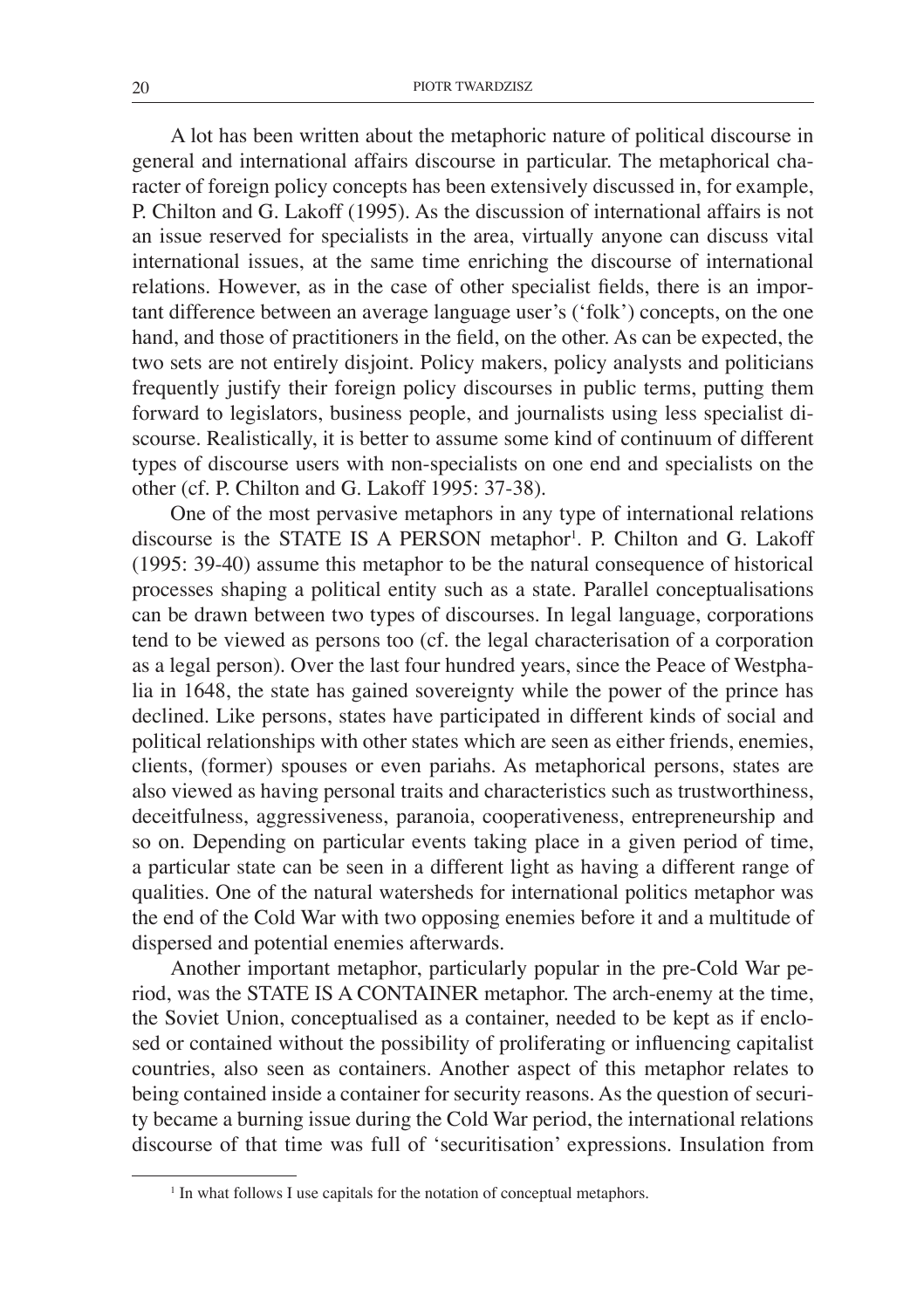A lot has been written about the metaphoric nature of political discourse in general and international affairs discourse in particular. The metaphorical character of foreign policy concepts has been extensively discussed in, for example, P. Chilton and G. Lakoff (1995). As the discussion of international affairs is not an issue reserved for specialists in the area, virtually anyone can discuss vital international issues, at the same time enriching the discourse of international relations. However, as in the case of other specialist fields, there is an important difference between an average language user's ('folk') concepts, on the one hand, and those of practitioners in the field, on the other. As can be expected, the two sets are not entirely disjoint. Policy makers, policy analysts and politicians frequently justify their foreign policy discourses in public terms, putting them forward to legislators, business people, and journalists using less specialist discourse. Realistically, it is better to assume some kind of continuum of different types of discourse users with non-specialists on one end and specialists on the other (cf. P. Chilton and G. Lakoff 1995: 37-38).

One of the most pervasive metaphors in any type of international relations discourse is the STATE IS A PERSON metaphor<sup>1</sup>. P. Chilton and G. Lakoff (1995: 39-40) assume this metaphor to be the natural consequence of historical processes shaping a political entity such as a state. Parallel conceptualisations can be drawn between two types of discourses. In legal language, corporations tend to be viewed as persons too (cf. the legal characterisation of a corporation as a legal person). Over the last four hundred years, since the Peace of Westphalia in 1648, the state has gained sovereignty while the power of the prince has declined. Like persons, states have participated in different kinds of social and political relationships with other states which are seen as either friends, enemies, clients, (former) spouses or even pariahs. As metaphorical persons, states are also viewed as having personal traits and characteristics such as trustworthiness, deceitfulness, aggressiveness, paranoia, cooperativeness, entrepreneurship and so on. Depending on particular events taking place in a given period of time, a particular state can be seen in a different light as having a different range of qualities. One of the natural watersheds for international politics metaphor was the end of the Cold War with two opposing enemies before it and a multitude of dispersed and potential enemies afterwards.

Another important metaphor, particularly popular in the pre-Cold War period, was the STATE IS A CONTAINER metaphor. The arch-enemy at the time, the Soviet Union, conceptualised as a container, needed to be kept as if enclosed or contained without the possibility of proliferating or influencing capitalist countries, also seen as containers. Another aspect of this metaphor relates to being contained inside a container for security reasons. As the question of security became a burning issue during the Cold War period, the international relations discourse of that time was full of 'securitisation' expressions. Insulation from

<sup>&</sup>lt;sup>1</sup> In what follows I use capitals for the notation of conceptual metaphors.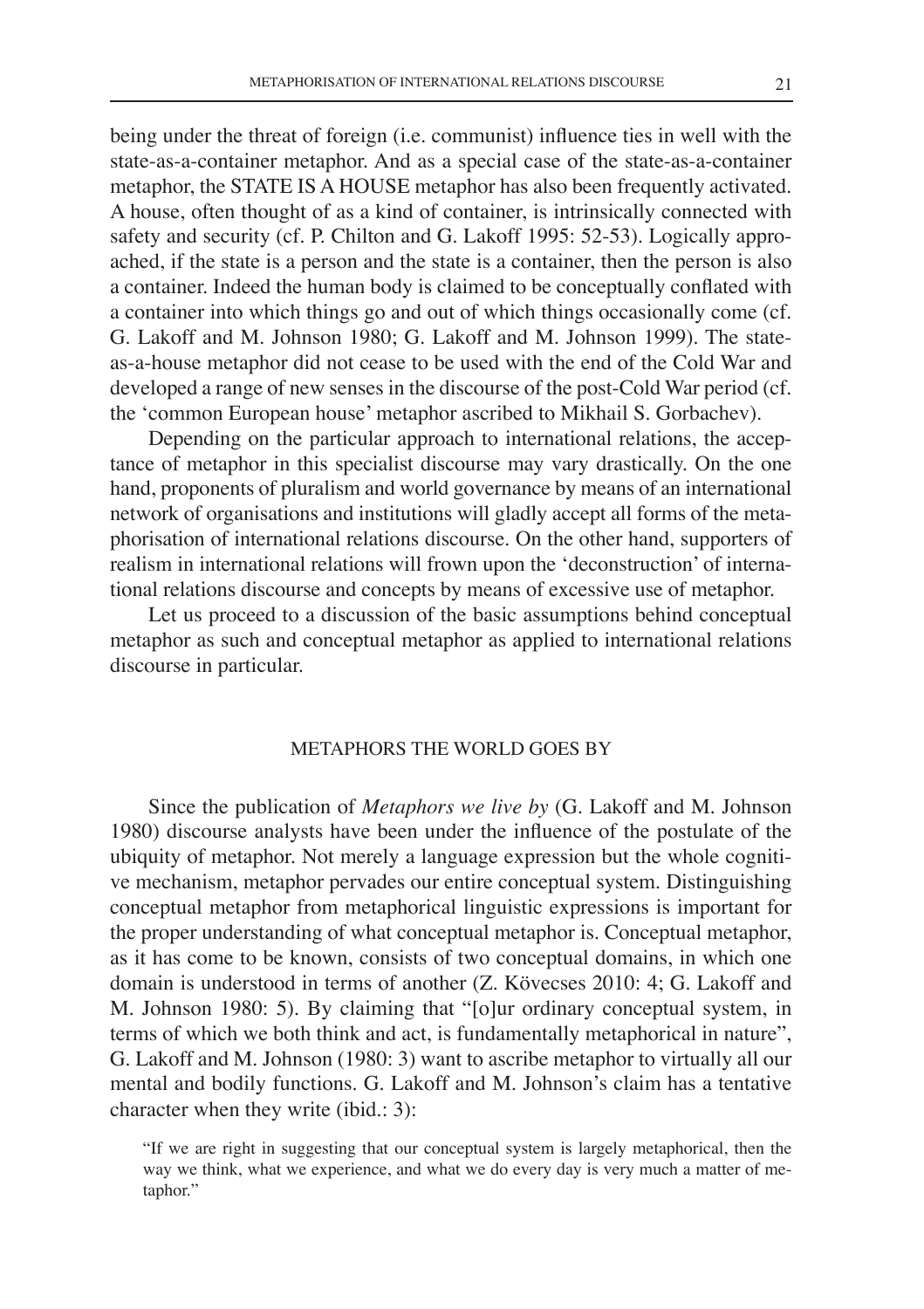being under the threat of foreign (i.e. communist) influence ties in well with the state-as-a-container metaphor. And as a special case of the state-as-a-container metaphor, the STATE IS A HOUSE metaphor has also been frequently activated. A house, often thought of as a kind of container, is intrinsically connected with safety and security (cf. P. Chilton and G. Lakoff 1995: 52-53). Logically approached, if the state is a person and the state is a container, then the person is also a container. Indeed the human body is claimed to be conceptually conflated with a container into which things go and out of which things occasionally come (cf. G. Lakoff and M. Johnson 1980; G. Lakoff and M. Johnson 1999). The stateas-a-house metaphor did not cease to be used with the end of the Cold War and developed a range of new senses in the discourse of the post-Cold War period (cf. the 'common European house' metaphor ascribed to Mikhail S. Gorbachev).

Depending on the particular approach to international relations, the acceptance of metaphor in this specialist discourse may vary drastically. On the one hand, proponents of pluralism and world governance by means of an international network of organisations and institutions will gladly accept all forms of the metaphorisation of international relations discourse. On the other hand, supporters of realism in international relations will frown upon the 'deconstruction' of international relations discourse and concepts by means of excessive use of metaphor.

Let us proceed to a discussion of the basic assumptions behind conceptual metaphor as such and conceptual metaphor as applied to international relations discourse in particular.

# Metaphors the world goes by

Since the publication of *Metaphors we live by* (G. Lakoff and M. Johnson 1980) discourse analysts have been under the influence of the postulate of the ubiquity of metaphor. Not merely a language expression but the whole cognitive mechanism, metaphor pervades our entire conceptual system. Distinguishing conceptual metaphor from metaphorical linguistic expressions is important for the proper understanding of what conceptual metaphor is. Conceptual metaphor, as it has come to be known, consists of two conceptual domains, in which one domain is understood in terms of another (Z. Kövecses 2010: 4; G. Lakoff and M. Johnson 1980: 5). By claiming that "[o]ur ordinary conceptual system, in terms of which we both think and act, is fundamentally metaphorical in nature", G. Lakoff and M. Johnson (1980: 3) want to ascribe metaphor to virtually all our mental and bodily functions. G. Lakoff and M. Johnson's claim has a tentative character when they write (ibid.: 3):

<sup>&</sup>quot;If we are right in suggesting that our conceptual system is largely metaphorical, then the way we think, what we experience, and what we do every day is very much a matter of metaphor."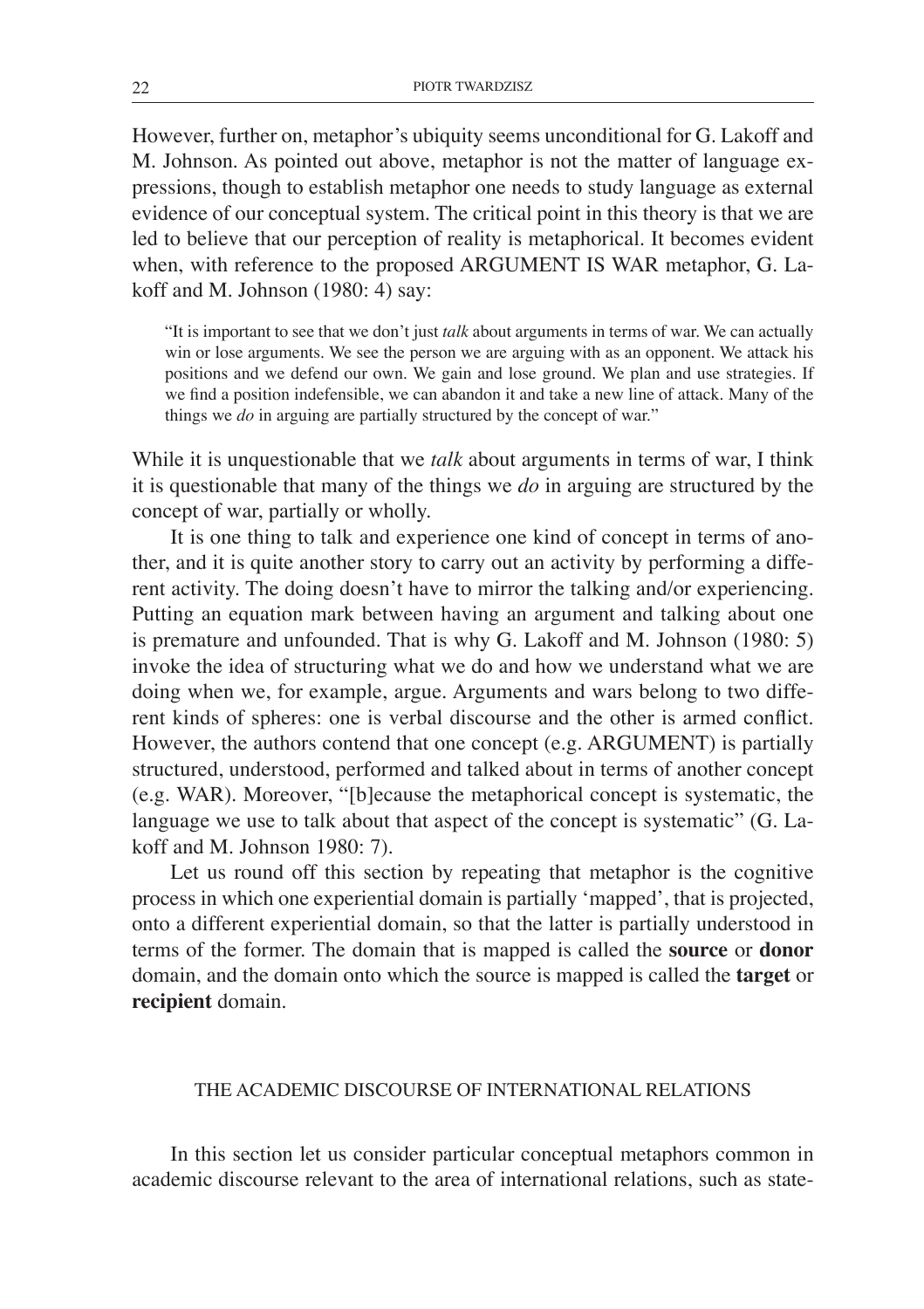However, further on, metaphor's ubiquity seems unconditional for G. Lakoff and M. Johnson. As pointed out above, metaphor is not the matter of language expressions, though to establish metaphor one needs to study language as external evidence of our conceptual system. The critical point in this theory is that we are led to believe that our perception of reality is metaphorical. It becomes evident when, with reference to the proposed ARGUMENT IS WAR metaphor, G. Lakoff and M. Johnson (1980: 4) say:

"It is important to see that we don't just *talk* about arguments in terms of war. We can actually win or lose arguments. We see the person we are arguing with as an opponent. We attack his positions and we defend our own. We gain and lose ground. We plan and use strategies. If we find a position indefensible, we can abandon it and take a new line of attack. Many of the things we *do* in arguing are partially structured by the concept of war."

While it is unquestionable that we *talk* about arguments in terms of war, I think it is questionable that many of the things we *do* in arguing are structured by the concept of war, partially or wholly.

It is one thing to talk and experience one kind of concept in terms of another, and it is quite another story to carry out an activity by performing a different activity. The doing doesn't have to mirror the talking and/or experiencing. Putting an equation mark between having an argument and talking about one is premature and unfounded. That is why G. Lakoff and M. Johnson (1980: 5) invoke the idea of structuring what we do and how we understand what we are doing when we, for example, argue. Arguments and wars belong to two different kinds of spheres: one is verbal discourse and the other is armed conflict. However, the authors contend that one concept (e.g. ARGUMENT) is partially structured, understood, performed and talked about in terms of another concept (e.g. WAR). Moreover, "[b]ecause the metaphorical concept is systematic, the language we use to talk about that aspect of the concept is systematic" (G. Lakoff and M. Johnson 1980: 7).

Let us round off this section by repeating that metaphor is the cognitive process in which one experiential domain is partially 'mapped', that is projected, onto a different experiential domain, so that the latter is partially understood in terms of the former. The domain that is mapped is called the **source** or **donor** domain, and the domain onto which the source is mapped is called the **target** or **recipient** domain.

# The academic discourse of international relations

In this section let us consider particular conceptual metaphors common in academic discourse relevant to the area of international relations, such as state-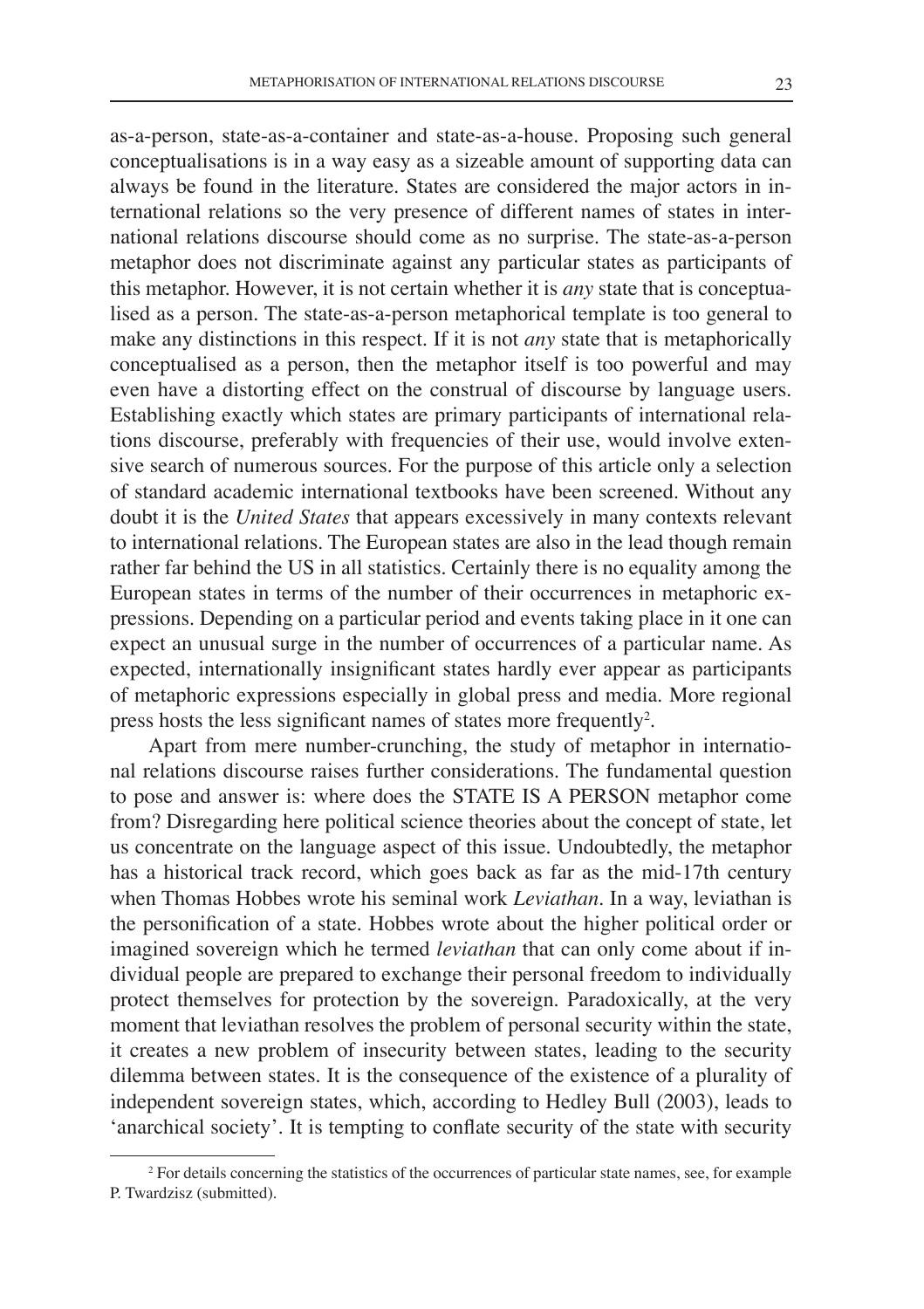as-a-person, state-as-a-container and state-as-a-house. Proposing such general conceptualisations is in a way easy as a sizeable amount of supporting data can always be found in the literature. States are considered the major actors in international relations so the very presence of different names of states in international relations discourse should come as no surprise. The state-as-a-person metaphor does not discriminate against any particular states as participants of this metaphor. However, it is not certain whether it is *any* state that is conceptualised as a person. The state-as-a-person metaphorical template is too general to make any distinctions in this respect. If it is not *any* state that is metaphorically conceptualised as a person, then the metaphor itself is too powerful and may even have a distorting effect on the construal of discourse by language users. Establishing exactly which states are primary participants of international relations discourse, preferably with frequencies of their use, would involve extensive search of numerous sources. For the purpose of this article only a selection of standard academic international textbooks have been screened. Without any doubt it is the *United States* that appears excessively in many contexts relevant to international relations. The European states are also in the lead though remain rather far behind the US in all statistics. Certainly there is no equality among the European states in terms of the number of their occurrences in metaphoric expressions. Depending on a particular period and events taking place in it one can expect an unusual surge in the number of occurrences of a particular name. As expected, internationally insignificant states hardly ever appear as participants of metaphoric expressions especially in global press and media. More regional press hosts the less significant names of states more frequently<sup>2</sup>.

Apart from mere number-crunching, the study of metaphor in international relations discourse raises further considerations. The fundamental question to pose and answer is: where does the STATE IS A PERSON metaphor come from? Disregarding here political science theories about the concept of state, let us concentrate on the language aspect of this issue. Undoubtedly, the metaphor has a historical track record, which goes back as far as the mid-17th century when Thomas Hobbes wrote his seminal work *Leviathan*. In a way, leviathan is the personification of a state. Hobbes wrote about the higher political order or imagined sovereign which he termed *leviathan* that can only come about if individual people are prepared to exchange their personal freedom to individually protect themselves for protection by the sovereign. Paradoxically, at the very moment that leviathan resolves the problem of personal security within the state, it creates a new problem of insecurity between states, leading to the security dilemma between states. It is the consequence of the existence of a plurality of independent sovereign states, which, according to Hedley Bull (2003), leads to 'anarchical society'. It is tempting to conflate security of the state with security

<sup>2</sup> For details concerning the statistics of the occurrences of particular state names, see, for example P. Twardzisz (submitted).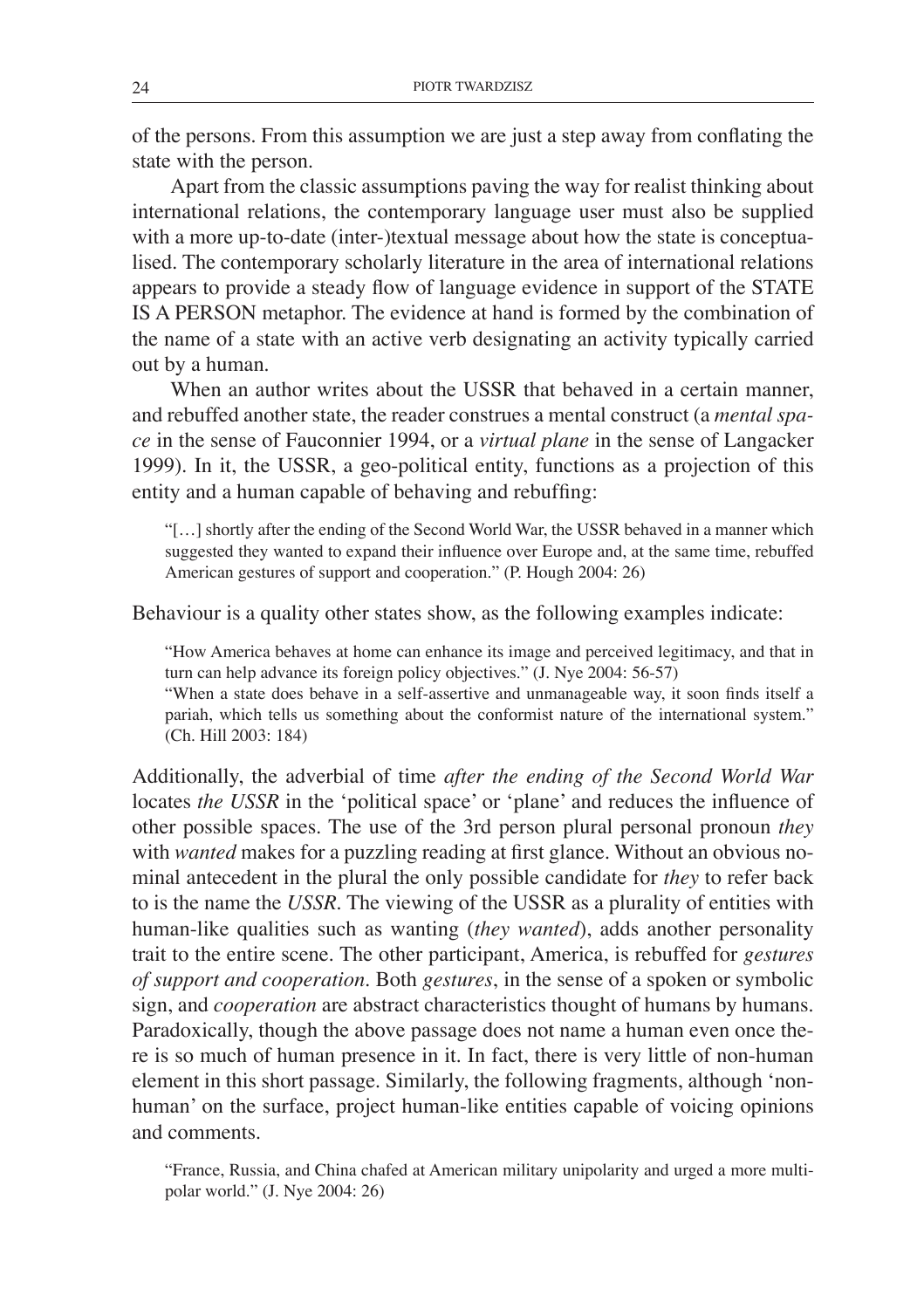of the persons. From this assumption we are just a step away from conflating the state with the person.

Apart from the classic assumptions paving the way for realist thinking about international relations, the contemporary language user must also be supplied with a more up-to-date (inter-)textual message about how the state is conceptualised. The contemporary scholarly literature in the area of international relations appears to provide a steady flow of language evidence in support of the STATE IS A PERSON metaphor. The evidence at hand is formed by the combination of the name of a state with an active verb designating an activity typically carried out by a human.

When an author writes about the USSR that behaved in a certain manner, and rebuffed another state, the reader construes a mental construct (a *mental space* in the sense of Fauconnier 1994, or a *virtual plane* in the sense of Langacker 1999). In it, the USSR, a geo-political entity, functions as a projection of this entity and a human capable of behaving and rebuffing:

"[…] shortly after the ending of the Second World War, the USSR behaved in a manner which suggested they wanted to expand their influence over Europe and, at the same time, rebuffed American gestures of support and cooperation." (P. Hough 2004: 26)

Behaviour is a quality other states show, as the following examples indicate:

"How America behaves at home can enhance its image and perceived legitimacy, and that in turn can help advance its foreign policy objectives." (J. Nye 2004: 56-57)

"When a state does behave in a self-assertive and unmanageable way, it soon finds itself a pariah, which tells us something about the conformist nature of the international system." (Ch. Hill 2003: 184)

Additionally, the adverbial of time *after the ending of the Second World War* locates *the USSR* in the 'political space' or 'plane' and reduces the influence of other possible spaces. The use of the 3rd person plural personal pronoun *they* with *wanted* makes for a puzzling reading at first glance. Without an obvious nominal antecedent in the plural the only possible candidate for *they* to refer back to is the name the *USSR*. The viewing of the USSR as a plurality of entities with human-like qualities such as wanting (*they wanted*), adds another personality trait to the entire scene. The other participant, America, is rebuffed for *gestures of support and cooperation*. Both *gestures*, in the sense of a spoken or symbolic sign, and *cooperation* are abstract characteristics thought of humans by humans. Paradoxically, though the above passage does not name a human even once there is so much of human presence in it. In fact, there is very little of non-human element in this short passage. Similarly, the following fragments, although 'nonhuman' on the surface, project human-like entities capable of voicing opinions and comments.

"France, Russia, and China chafed at American military unipolarity and urged a more multipolar world." (J. Nye 2004: 26)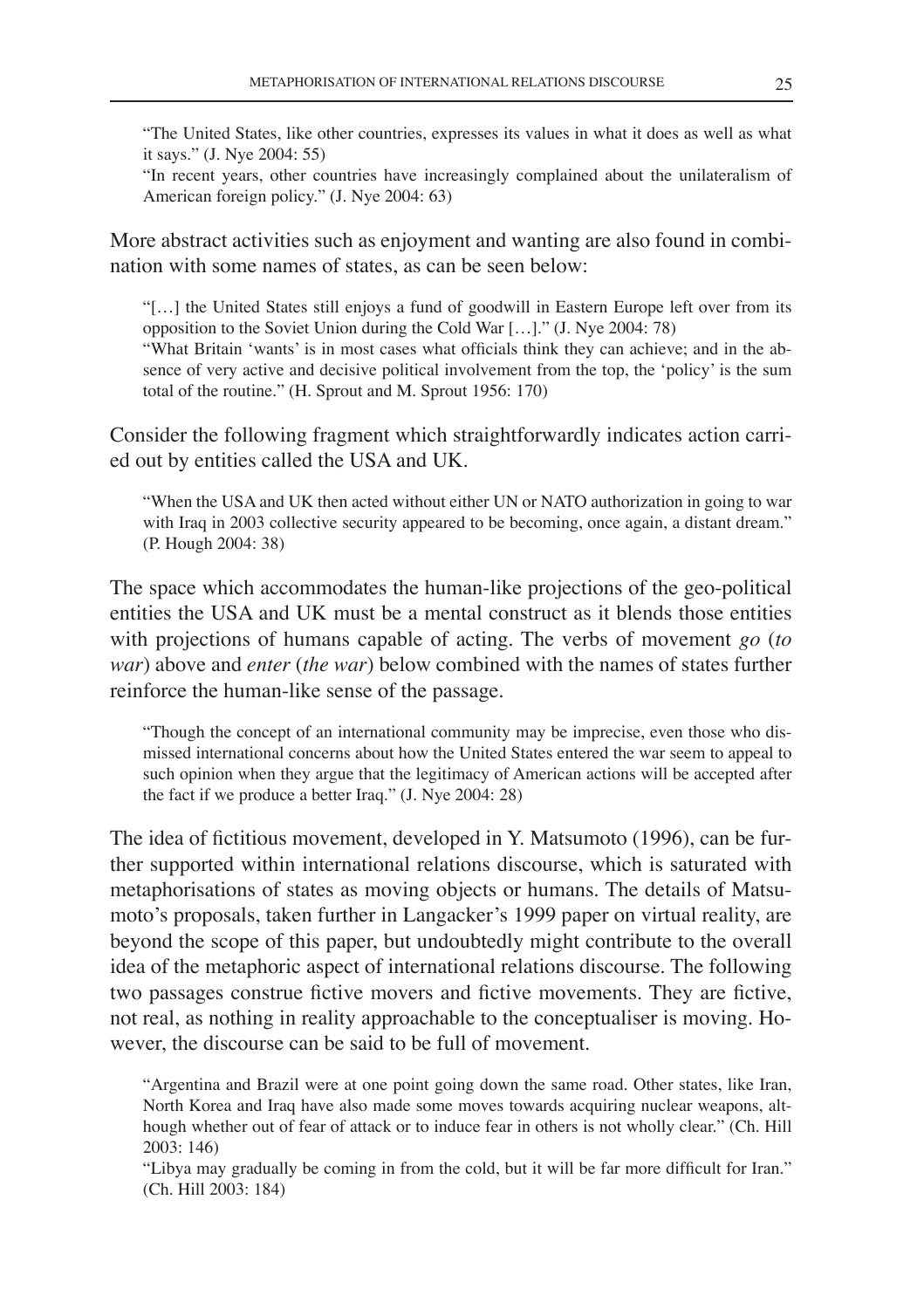"The United States, like other countries, expresses its values in what it does as well as what it says." (J. Nye 2004: 55)

"In recent years, other countries have increasingly complained about the unilateralism of American foreign policy." (J. Nye 2004: 63)

More abstract activities such as enjoyment and wanting are also found in combination with some names of states, as can be seen below:

"[…] the United States still enjoys a fund of goodwill in Eastern Europe left over from its opposition to the Soviet Union during the Cold War […]." (J. Nye 2004: 78)

"What Britain 'wants' is in most cases what officials think they can achieve; and in the absence of very active and decisive political involvement from the top, the 'policy' is the sum total of the routine." (H. Sprout and M. Sprout 1956: 170)

Consider the following fragment which straightforwardly indicates action carried out by entities called the USA and UK.

"When the USA and UK then acted without either UN or NATO authorization in going to war with Iraq in 2003 collective security appeared to be becoming, once again, a distant dream." (P. Hough 2004: 38)

The space which accommodates the human-like projections of the geo-political entities the USA and UK must be a mental construct as it blends those entities with projections of humans capable of acting. The verbs of movement *go* (*to war*) above and *enter* (*the war*) below combined with the names of states further reinforce the human-like sense of the passage.

"Though the concept of an international community may be imprecise, even those who dismissed international concerns about how the United States entered the war seem to appeal to such opinion when they argue that the legitimacy of American actions will be accepted after the fact if we produce a better Iraq." (J. Nye 2004: 28)

The idea of fictitious movement, developed in Y. Matsumoto (1996), can be further supported within international relations discourse, which is saturated with metaphorisations of states as moving objects or humans. The details of Matsumoto's proposals, taken further in Langacker's 1999 paper on virtual reality, are beyond the scope of this paper, but undoubtedly might contribute to the overall idea of the metaphoric aspect of international relations discourse. The following two passages construe fictive movers and fictive movements. They are fictive, not real, as nothing in reality approachable to the conceptualiser is moving. However, the discourse can be said to be full of movement.

"Argentina and Brazil were at one point going down the same road. Other states, like Iran, North Korea and Iraq have also made some moves towards acquiring nuclear weapons, although whether out of fear of attack or to induce fear in others is not wholly clear." (Ch. Hill 2003: 146)

"Libya may gradually be coming in from the cold, but it will be far more difficult for Iran." (Ch. Hill 2003: 184)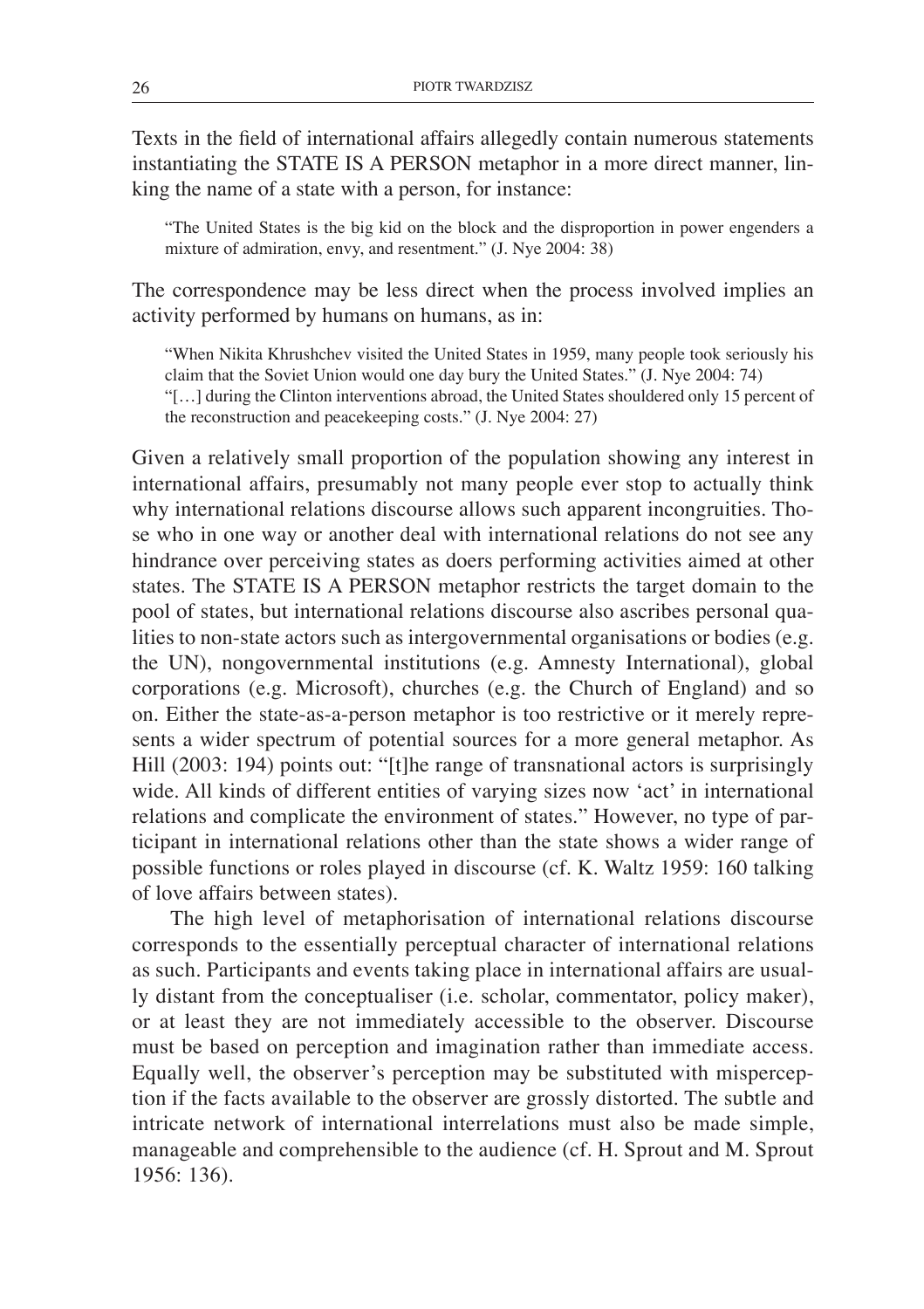Texts in the field of international affairs allegedly contain numerous statements instantiating the STATE IS A PERSON metaphor in a more direct manner, linking the name of a state with a person, for instance:

"The United States is the big kid on the block and the disproportion in power engenders a mixture of admiration, envy, and resentment." (J. Nye 2004: 38)

The correspondence may be less direct when the process involved implies an activity performed by humans on humans, as in:

"When Nikita Khrushchev visited the United States in 1959, many people took seriously his claim that the Soviet Union would one day bury the United States." (J. Nye 2004: 74)

"[…] during the Clinton interventions abroad, the United States shouldered only 15 percent of the reconstruction and peacekeeping costs." (J. Nye 2004: 27)

Given a relatively small proportion of the population showing any interest in international affairs, presumably not many people ever stop to actually think why international relations discourse allows such apparent incongruities. Those who in one way or another deal with international relations do not see any hindrance over perceiving states as doers performing activities aimed at other states. The STATE IS A PERSON metaphor restricts the target domain to the pool of states, but international relations discourse also ascribes personal qualities to non-state actors such as intergovernmental organisations or bodies (e.g. the UN), nongovernmental institutions (e.g. Amnesty International), global corporations (e.g. Microsoft), churches (e.g. the Church of England) and so on. Either the state-as-a-person metaphor is too restrictive or it merely represents a wider spectrum of potential sources for a more general metaphor. As Hill (2003: 194) points out: "[t]he range of transnational actors is surprisingly wide. All kinds of different entities of varying sizes now 'act' in international relations and complicate the environment of states." However, no type of participant in international relations other than the state shows a wider range of possible functions or roles played in discourse (cf. K. Waltz 1959: 160 talking of love affairs between states).

The high level of metaphorisation of international relations discourse corresponds to the essentially perceptual character of international relations as such. Participants and events taking place in international affairs are usually distant from the conceptualiser (i.e. scholar, commentator, policy maker), or at least they are not immediately accessible to the observer. Discourse must be based on perception and imagination rather than immediate access. Equally well, the observer's perception may be substituted with misperception if the facts available to the observer are grossly distorted. The subtle and intricate network of international interrelations must also be made simple, manageable and comprehensible to the audience (cf. H. Sprout and M. Sprout 1956: 136).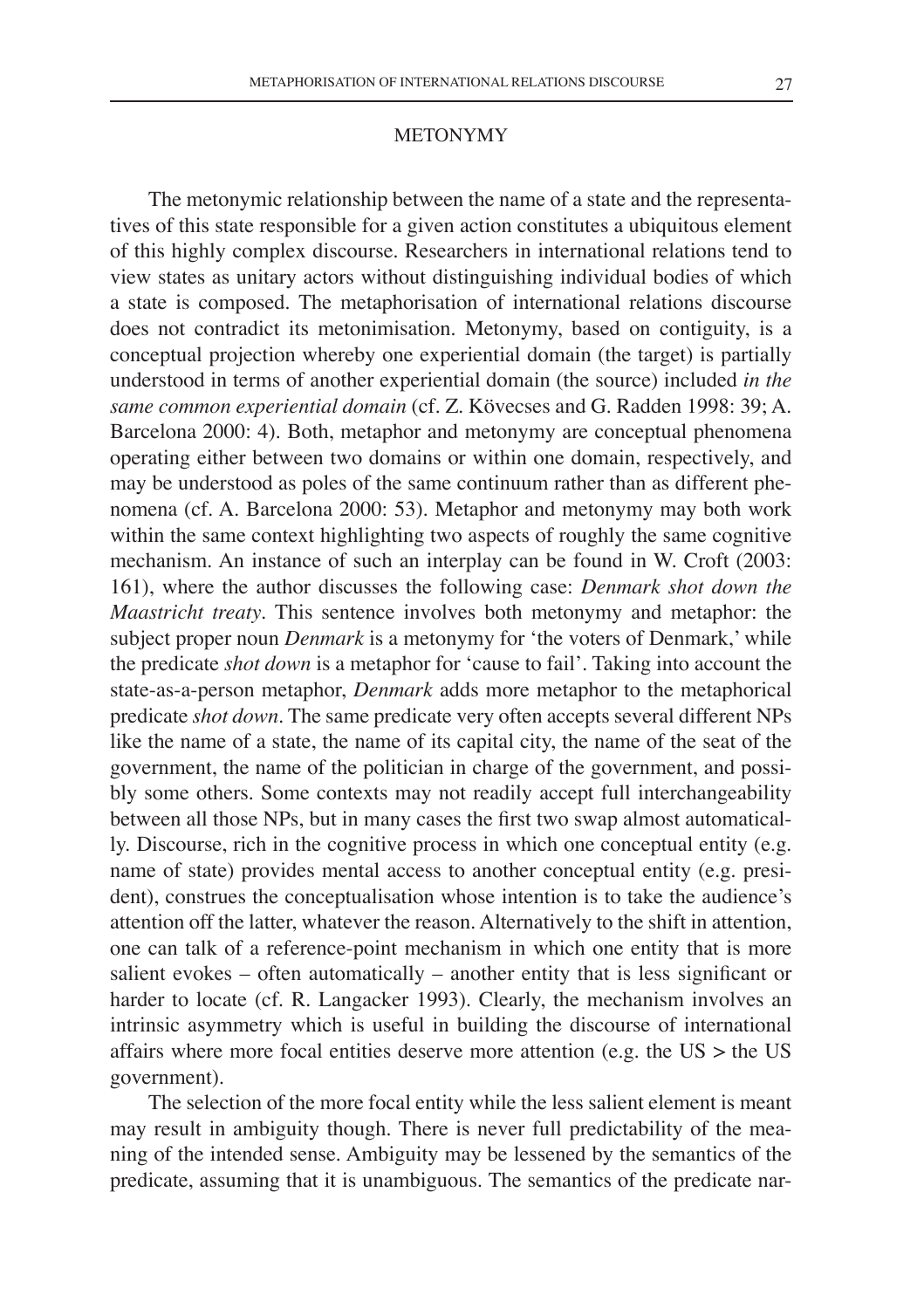#### **METONYMY**

The metonymic relationship between the name of a state and the representatives of this state responsible for a given action constitutes a ubiquitous element of this highly complex discourse. Researchers in international relations tend to view states as unitary actors without distinguishing individual bodies of which a state is composed. The metaphorisation of international relations discourse does not contradict its metonimisation. Metonymy, based on contiguity, is a conceptual projection whereby one experiential domain (the target) is partially understood in terms of another experiential domain (the source) included *in the same common experiential domain* (cf. Z. Kövecses and G. Radden 1998: 39; A. Barcelona 2000: 4). Both, metaphor and metonymy are conceptual phenomena operating either between two domains or within one domain, respectively, and may be understood as poles of the same continuum rather than as different phenomena (cf. A. Barcelona 2000: 53). Metaphor and metonymy may both work within the same context highlighting two aspects of roughly the same cognitive mechanism. An instance of such an interplay can be found in W. Croft (2003: 161), where the author discusses the following case: *Denmark shot down the Maastricht treaty*. This sentence involves both metonymy and metaphor: the subject proper noun *Denmark* is a metonymy for 'the voters of Denmark,' while the predicate *shot down* is a metaphor for 'cause to fail'. Taking into account the state-as-a-person metaphor, *Denmark* adds more metaphor to the metaphorical predicate *shot down*. The same predicate very often accepts several different NPs like the name of a state, the name of its capital city, the name of the seat of the government, the name of the politician in charge of the government, and possibly some others. Some contexts may not readily accept full interchangeability between all those NPs, but in many cases the first two swap almost automatically. Discourse, rich in the cognitive process in which one conceptual entity (e.g. name of state) provides mental access to another conceptual entity (e.g. president), construes the conceptualisation whose intention is to take the audience's attention off the latter, whatever the reason. Alternatively to the shift in attention, one can talk of a reference-point mechanism in which one entity that is more salient evokes – often automatically – another entity that is less significant or harder to locate (cf. R. Langacker 1993). Clearly, the mechanism involves an intrinsic asymmetry which is useful in building the discourse of international affairs where more focal entities deserve more attention (e.g. the  $US >$  the US government).

The selection of the more focal entity while the less salient element is meant may result in ambiguity though. There is never full predictability of the meaning of the intended sense. Ambiguity may be lessened by the semantics of the predicate, assuming that it is unambiguous. The semantics of the predicate nar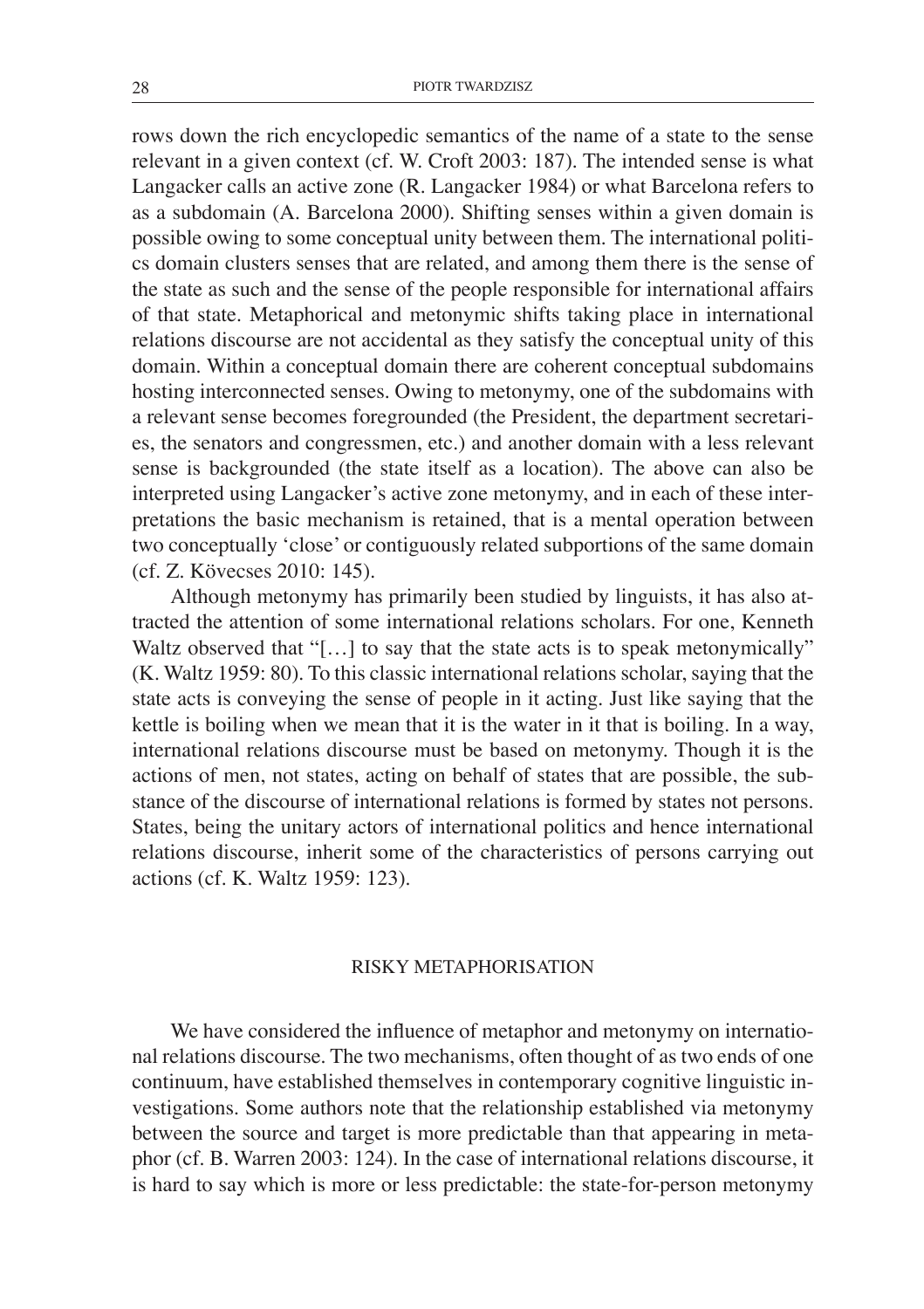rows down the rich encyclopedic semantics of the name of a state to the sense relevant in a given context (cf. W. Croft 2003: 187). The intended sense is what Langacker calls an active zone (R. Langacker 1984) or what Barcelona refers to as a subdomain (A. Barcelona 2000). Shifting senses within a given domain is possible owing to some conceptual unity between them. The international politics domain clusters senses that are related, and among them there is the sense of the state as such and the sense of the people responsible for international affairs of that state. Metaphorical and metonymic shifts taking place in international relations discourse are not accidental as they satisfy the conceptual unity of this domain. Within a conceptual domain there are coherent conceptual subdomains hosting interconnected senses. Owing to metonymy, one of the subdomains with a relevant sense becomes foregrounded (the President, the department secretaries, the senators and congressmen, etc.) and another domain with a less relevant sense is backgrounded (the state itself as a location). The above can also be interpreted using Langacker's active zone metonymy, and in each of these interpretations the basic mechanism is retained, that is a mental operation between two conceptually 'close' or contiguously related subportions of the same domain (cf. Z. Kövecses 2010: 145).

Although metonymy has primarily been studied by linguists, it has also attracted the attention of some international relations scholars. For one, Kenneth Waltz observed that "[...] to say that the state acts is to speak metonymically" (K. Waltz 1959: 80). To this classic international relations scholar, saying that the state acts is conveying the sense of people in it acting. Just like saying that the kettle is boiling when we mean that it is the water in it that is boiling. In a way, international relations discourse must be based on metonymy. Though it is the actions of men, not states, acting on behalf of states that are possible, the substance of the discourse of international relations is formed by states not persons. States, being the unitary actors of international politics and hence international relations discourse, inherit some of the characteristics of persons carrying out actions (cf. K. Waltz 1959: 123).

## Risky metaphorisation

We have considered the influence of metaphor and metonymy on international relations discourse. The two mechanisms, often thought of as two ends of one continuum, have established themselves in contemporary cognitive linguistic investigations. Some authors note that the relationship established via metonymy between the source and target is more predictable than that appearing in metaphor (cf. B. Warren 2003: 124). In the case of international relations discourse, it is hard to say which is more or less predictable: the state-for-person metonymy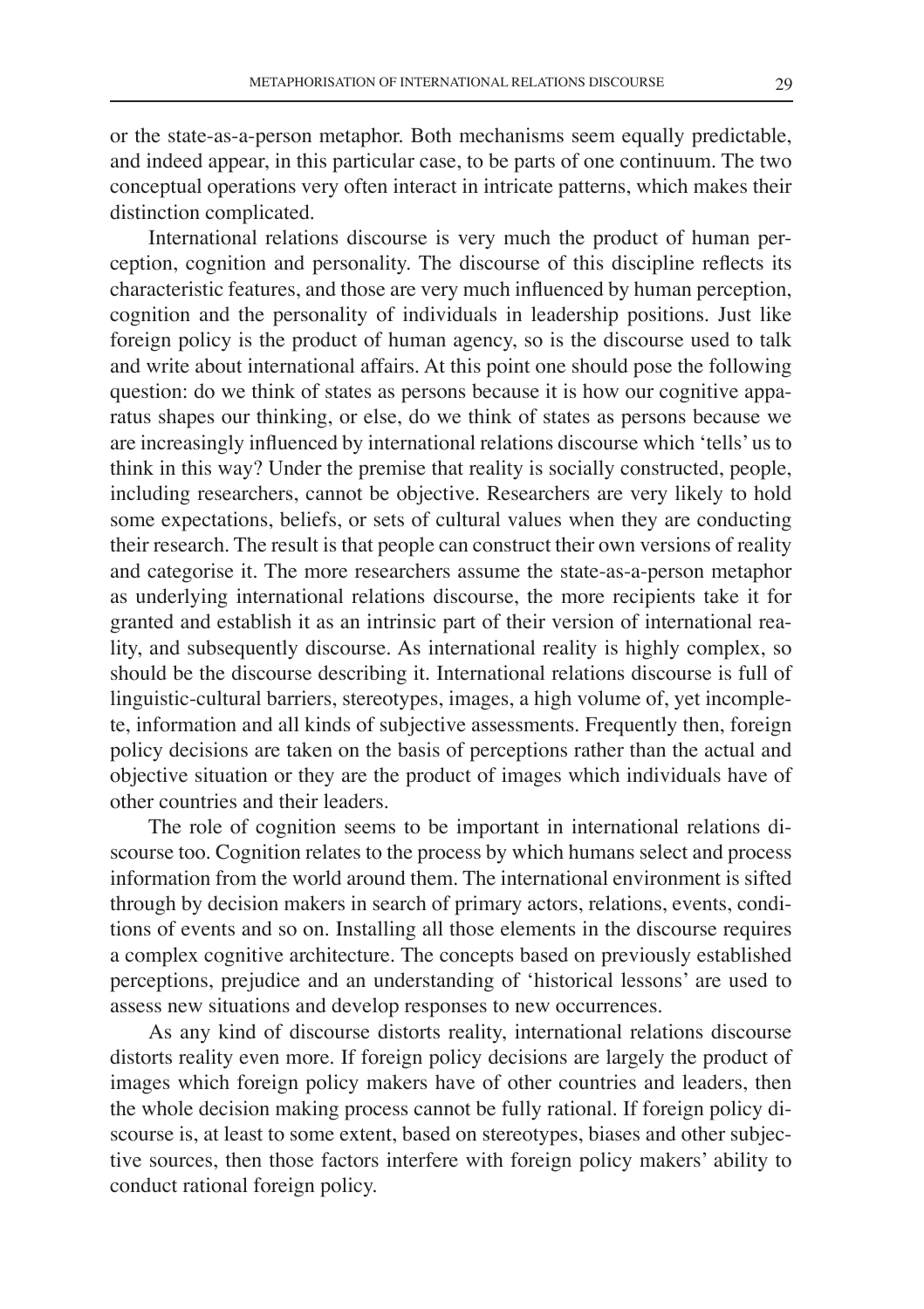or the state-as-a-person metaphor. Both mechanisms seem equally predictable, and indeed appear, in this particular case, to be parts of one continuum. The two conceptual operations very often interact in intricate patterns, which makes their distinction complicated.

International relations discourse is very much the product of human perception, cognition and personality. The discourse of this discipline reflects its characteristic features, and those are very much influenced by human perception, cognition and the personality of individuals in leadership positions. Just like foreign policy is the product of human agency, so is the discourse used to talk and write about international affairs. At this point one should pose the following question: do we think of states as persons because it is how our cognitive apparatus shapes our thinking, or else, do we think of states as persons because we are increasingly influenced by international relations discourse which 'tells' us to think in this way? Under the premise that reality is socially constructed, people, including researchers, cannot be objective. Researchers are very likely to hold some expectations, beliefs, or sets of cultural values when they are conducting their research. The result is that people can construct their own versions of reality and categorise it. The more researchers assume the state-as-a-person metaphor as underlying international relations discourse, the more recipients take it for granted and establish it as an intrinsic part of their version of international reality, and subsequently discourse. As international reality is highly complex, so should be the discourse describing it. International relations discourse is full of linguistic-cultural barriers, stereotypes, images, a high volume of, yet incomplete, information and all kinds of subjective assessments. Frequently then, foreign policy decisions are taken on the basis of perceptions rather than the actual and objective situation or they are the product of images which individuals have of other countries and their leaders.

The role of cognition seems to be important in international relations discourse too. Cognition relates to the process by which humans select and process information from the world around them. The international environment is sifted through by decision makers in search of primary actors, relations, events, conditions of events and so on. Installing all those elements in the discourse requires a complex cognitive architecture. The concepts based on previously established perceptions, prejudice and an understanding of 'historical lessons' are used to assess new situations and develop responses to new occurrences.

As any kind of discourse distorts reality, international relations discourse distorts reality even more. If foreign policy decisions are largely the product of images which foreign policy makers have of other countries and leaders, then the whole decision making process cannot be fully rational. If foreign policy discourse is, at least to some extent, based on stereotypes, biases and other subjective sources, then those factors interfere with foreign policy makers' ability to conduct rational foreign policy.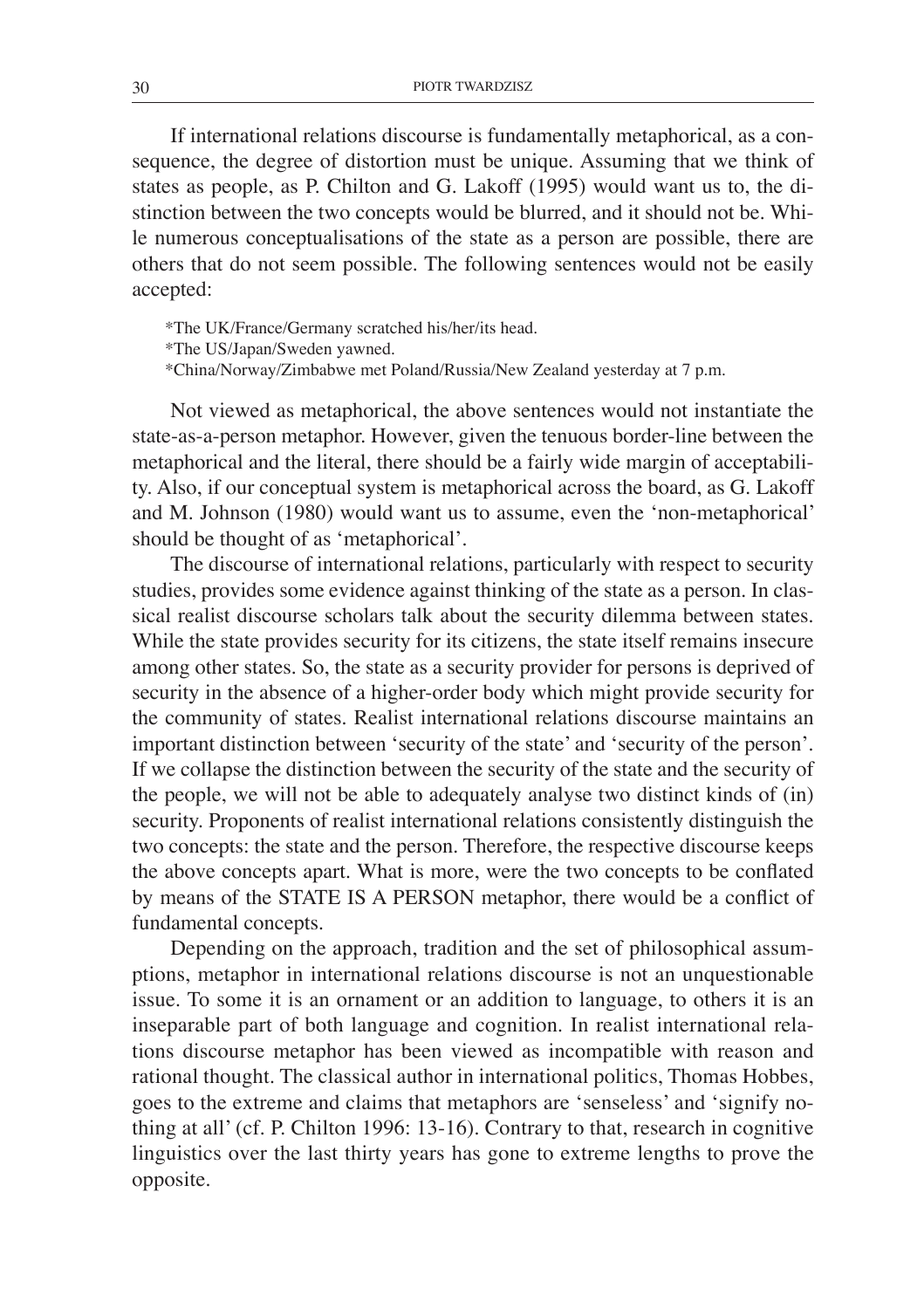If international relations discourse is fundamentally metaphorical, as a consequence, the degree of distortion must be unique. Assuming that we think of states as people, as P. Chilton and G. Lakoff (1995) would want us to, the distinction between the two concepts would be blurred, and it should not be. While numerous conceptualisations of the state as a person are possible, there are others that do not seem possible. The following sentences would not be easily accepted:

\*The UK/France/Germany scratched his/her/its head.

\*The US/Japan/Sweden yawned.

\*China/Norway/Zimbabwe met Poland/Russia/New Zealand yesterday at 7 p.m.

Not viewed as metaphorical, the above sentences would not instantiate the state-as-a-person metaphor. However, given the tenuous border-line between the metaphorical and the literal, there should be a fairly wide margin of acceptability. Also, if our conceptual system is metaphorical across the board, as G. Lakoff and M. Johnson (1980) would want us to assume, even the 'non-metaphorical' should be thought of as 'metaphorical'.

The discourse of international relations, particularly with respect to security studies, provides some evidence against thinking of the state as a person. In classical realist discourse scholars talk about the security dilemma between states. While the state provides security for its citizens, the state itself remains insecure among other states. So, the state as a security provider for persons is deprived of security in the absence of a higher-order body which might provide security for the community of states. Realist international relations discourse maintains an important distinction between 'security of the state' and 'security of the person'. If we collapse the distinction between the security of the state and the security of the people, we will not be able to adequately analyse two distinct kinds of (in) security. Proponents of realist international relations consistently distinguish the two concepts: the state and the person. Therefore, the respective discourse keeps the above concepts apart. What is more, were the two concepts to be conflated by means of the STATE IS A PERSON metaphor, there would be a conflict of fundamental concepts.

Depending on the approach, tradition and the set of philosophical assumptions, metaphor in international relations discourse is not an unquestionable issue. To some it is an ornament or an addition to language, to others it is an inseparable part of both language and cognition. In realist international relations discourse metaphor has been viewed as incompatible with reason and rational thought. The classical author in international politics, Thomas Hobbes, goes to the extreme and claims that metaphors are 'senseless' and 'signify nothing at all' (cf. P. Chilton 1996: 13-16). Contrary to that, research in cognitive linguistics over the last thirty years has gone to extreme lengths to prove the opposite.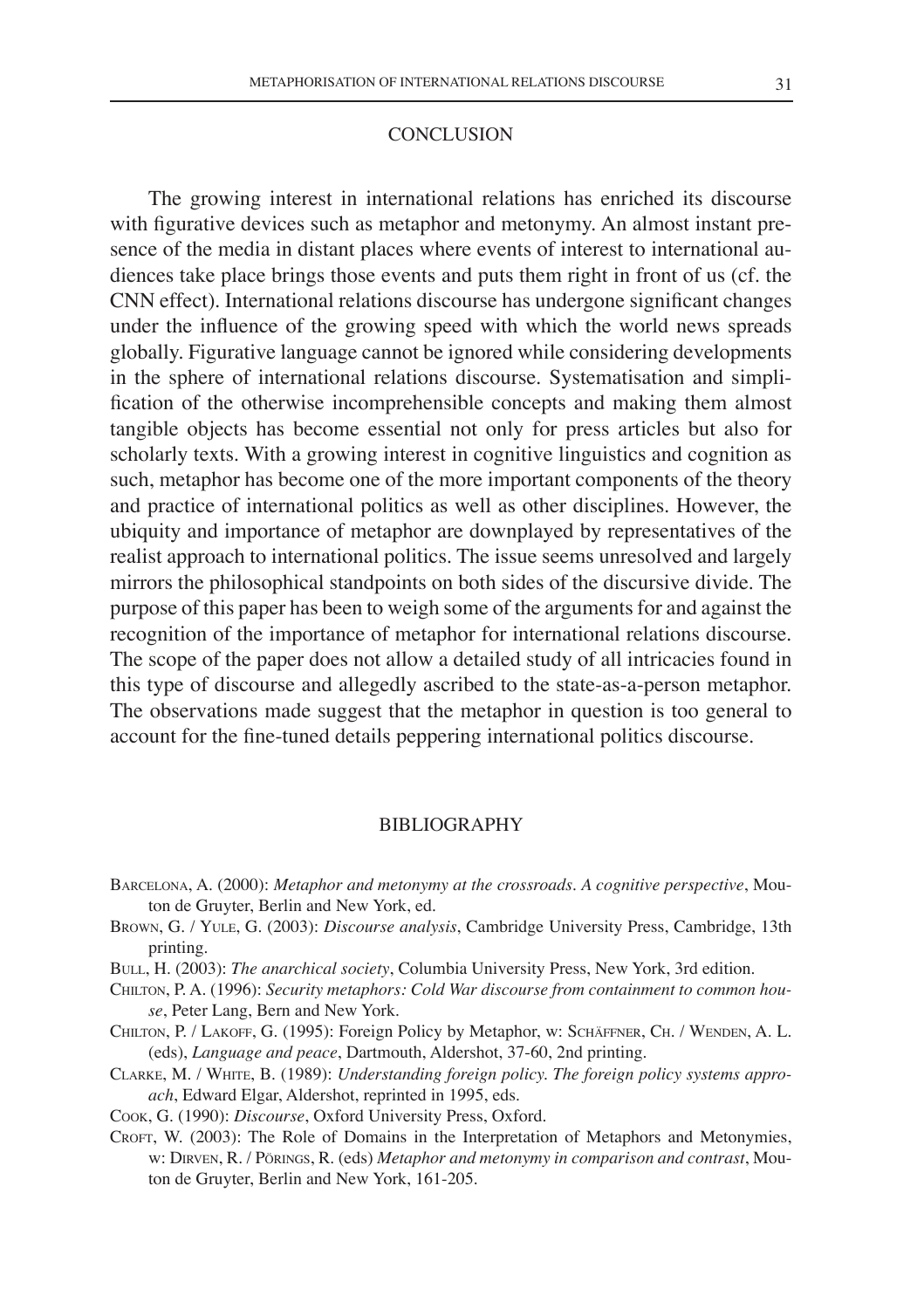#### **CONCLUSION**

The growing interest in international relations has enriched its discourse with figurative devices such as metaphor and metonymy. An almost instant presence of the media in distant places where events of interest to international audiences take place brings those events and puts them right in front of us (cf. the CNN effect). International relations discourse has undergone significant changes under the influence of the growing speed with which the world news spreads globally. Figurative language cannot be ignored while considering developments in the sphere of international relations discourse. Systematisation and simplification of the otherwise incomprehensible concepts and making them almost tangible objects has become essential not only for press articles but also for scholarly texts. With a growing interest in cognitive linguistics and cognition as such, metaphor has become one of the more important components of the theory and practice of international politics as well as other disciplines. However, the ubiquity and importance of metaphor are downplayed by representatives of the realist approach to international politics. The issue seems unresolved and largely mirrors the philosophical standpoints on both sides of the discursive divide. The purpose of this paper has been to weigh some of the arguments for and against the recognition of the importance of metaphor for international relations discourse. The scope of the paper does not allow a detailed study of all intricacies found in this type of discourse and allegedly ascribed to the state-as-a-person metaphor. The observations made suggest that the metaphor in question is too general to account for the fine-tuned details peppering international politics discourse.

#### **BIBLIOGRAPHY**

- Barcelona, A. (2000): *Metaphor and metonymy at the crossroads. A cognitive perspective*, Mouton de Gruyter, Berlin and New York, ed.
- Brown, G. / Yule, G. (2003): *Discourse analysis*, Cambridge University Press, Cambridge, 13th printing.
- Bull, H. (2003): *The anarchical society*, Columbia University Press, New York, 3rd edition.
- Chilton, P. A. (1996): *Security metaphors: Cold War discourse from containment to common house*, Peter Lang, Bern and New York.
- Chilton, P. / Lakoff, G. (1995): Foreign Policy by Metaphor, w: Schäffner, Ch. / Wenden, A. L. (eds), *Language and peace*, Dartmouth, Aldershot, 37-60, 2nd printing.
- Clarke, M. / White, B. (1989): *Understanding foreign policy. The foreign policy systems approach*, Edward Elgar, Aldershot, reprinted in 1995, eds.
- Cook, G. (1990): *Discourse*, Oxford University Press, Oxford.
- Croft, W. (2003): The Role of Domains in the Interpretation of Metaphors and Metonymies, w: Dirven, R. / Pörings, R. (eds) *Metaphor and metonymy in comparison and contrast*, Mouton de Gruyter, Berlin and New York, 161-205.